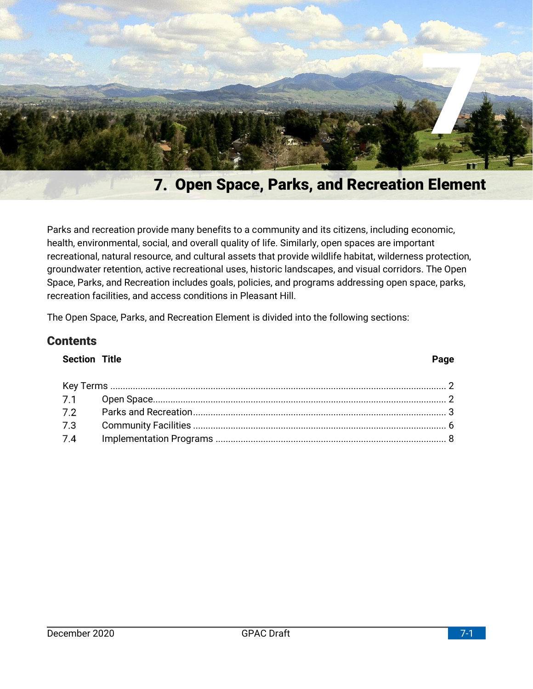

# **Open Space, Parks, and Recreation Element**

Parks and recreation provide many benefits to a community and its citizens, including economic, health, environmental, social, and overall quality of life. Similarly, open spaces are important recreational, natural resource, and cultural assets that provide wildlife habitat, wilderness protection, groundwater retention, active recreational uses, historic landscapes, and visual corridors. The Open Space, Parks, and Recreation includes goals, policies, and programs addressing open space, parks, recreation facilities, and access conditions in Pleasant Hill.

The Open Space, Parks, and Recreation Element is divided into the following sections:

## **Contents**

## **Section Title Page**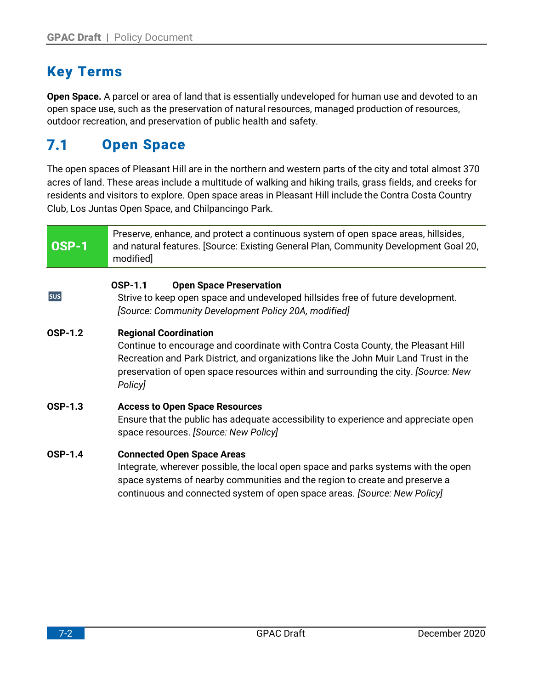# <span id="page-1-0"></span>**Key Terms**

**Open Space.** A parcel or area of land that is essentially undeveloped for human use and devoted to an open space use, such as the preservation of natural resources, managed production of resources, outdoor recreation, and preservation of public health and safety.

#### <span id="page-1-1"></span> $7.1$ **Open Space**

The open spaces of Pleasant Hill are in the northern and western parts of the city and total almost 370 acres of land. These areas include a multitude of walking and hiking trails, grass fields, and creeks for residents and visitors to explore. Open space areas in Pleasant Hill include the Contra Costa Country Club, Los Juntas Open Space, and Chilpancingo Park.

| <b>OSP-1</b>   | Preserve, enhance, and protect a continuous system of open space areas, hillsides,<br>and natural features. [Source: Existing General Plan, Community Development Goal 20,<br>modified]                                                                                                                   |  |  |  |  |  |  |
|----------------|-----------------------------------------------------------------------------------------------------------------------------------------------------------------------------------------------------------------------------------------------------------------------------------------------------------|--|--|--|--|--|--|
| sus            | <b>OSP-1.1</b><br><b>Open Space Preservation</b><br>Strive to keep open space and undeveloped hillsides free of future development.<br>[Source: Community Development Policy 20A, modified]                                                                                                               |  |  |  |  |  |  |
| <b>OSP-1.2</b> | <b>Regional Coordination</b><br>Continue to encourage and coordinate with Contra Costa County, the Pleasant Hill<br>Recreation and Park District, and organizations like the John Muir Land Trust in the<br>preservation of open space resources within and surrounding the city. [Source: New<br>Policy] |  |  |  |  |  |  |
| <b>OSP-1.3</b> | <b>Access to Open Space Resources</b><br>Ensure that the public has adequate accessibility to experience and appreciate open<br>space resources. [Source: New Policy]                                                                                                                                     |  |  |  |  |  |  |
| <b>OSP-1.4</b> | <b>Connected Open Space Areas</b><br>Integrate, wherever possible, the local open space and parks systems with the open<br>space systems of nearby communities and the region to create and preserve a<br>continuous and connected system of open space areas. [Source: New Policy]                       |  |  |  |  |  |  |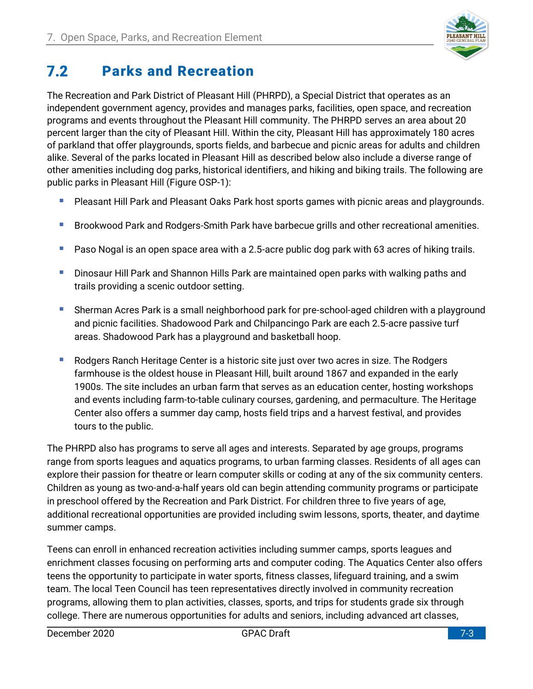

#### <span id="page-2-0"></span> $7.2$ **Parks and Recreation**

The Recreation and Park District of Pleasant Hill (PHRPD), a Special District that operates as an independent government agency, provides and manages parks, facilities, open space, and recreation programs and events throughout the Pleasant Hill community. The PHRPD serves an area about 20 percent larger than the city of Pleasant Hill. Within the city, Pleasant Hill has approximately 180 acres of parkland that offer playgrounds, sports fields, and barbecue and picnic areas for adults and children alike. Several of the parks located in Pleasant Hill as described below also include a diverse range of other amenities including dog parks, historical identifiers, and hiking and biking trails. The following are public parks in Pleasant Hill (Figure OSP-1):

- **E** Pleasant Hill Park and Pleasant Oaks Park host sports games with picnic areas and playgrounds.
- **E** Brookwood Park and Rodgers-Smith Park have barbecue grills and other recreational amenities.
- Paso Nogal is an open space area with a 2.5-acre public dog park with 63 acres of hiking trails.
- **E** Dinosaur Hill Park and Shannon Hills Park are maintained open parks with walking paths and trails providing a scenic outdoor setting.
- Sherman Acres Park is a small neighborhood park for pre-school-aged children with a playground and picnic facilities. Shadowood Park and Chilpancingo Park are each 2.5-acre passive turf areas. Shadowood Park has a playground and basketball hoop.
- Rodgers Ranch Heritage Center is a historic site just over two acres in size. The Rodgers farmhouse is the oldest house in Pleasant Hill, built around 1867 and expanded in the early 1900s. The site includes an urban farm that serves as an education center, hosting workshops and events including farm-to-table culinary courses, gardening, and permaculture. The Heritage Center also offers a summer day camp, hosts field trips and a harvest festival, and provides tours to the public.

The PHRPD also has programs to serve all ages and interests. Separated by age groups, programs range from sports leagues and aquatics programs, to urban farming classes. Residents of all ages can explore their passion for theatre or learn computer skills or coding at any of the six community centers. Children as young as two-and-a-half years old can begin attending community programs or participate in preschool offered by the Recreation and Park District. For children three to five years of age, additional recreational opportunities are provided including swim lessons, sports, theater, and daytime summer camps.

Teens can enroll in enhanced recreation activities including summer camps, sports leagues and enrichment classes focusing on performing arts and computer coding. The Aquatics Center also offers teens the opportunity to participate in water sports, fitness classes, lifeguard training, and a swim team. The local Teen Council has teen representatives directly involved in community recreation programs, allowing them to plan activities, classes, sports, and trips for students grade six through college. There are numerous opportunities for adults and seniors, including advanced art classes,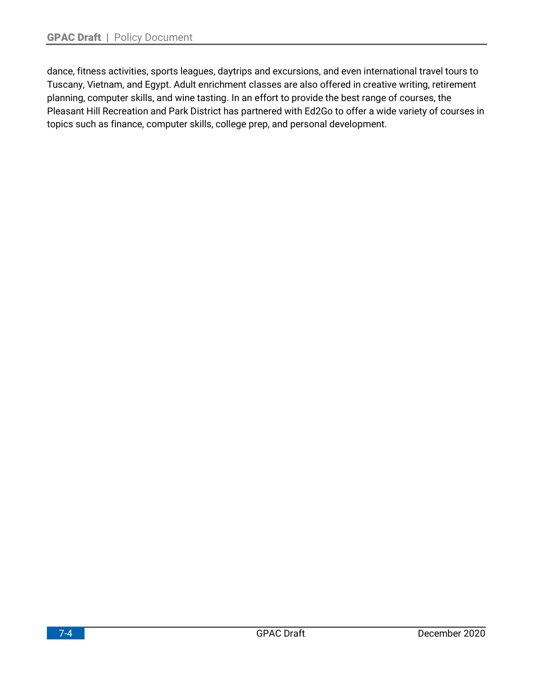dance, fitness activities, sports leagues, daytrips and excursions, and even international travel tours to Tuscany, Vietnam, and Egypt. Adult enrichment classes are also offered in creative writing, retirement planning, computer skills, and wine tasting. In an effort to provide the best range of courses, the Pleasant Hill Recreation and Park District has partnered with Ed2Go to offer a wide variety of courses in topics such as finance, computer skills, college prep, and personal development.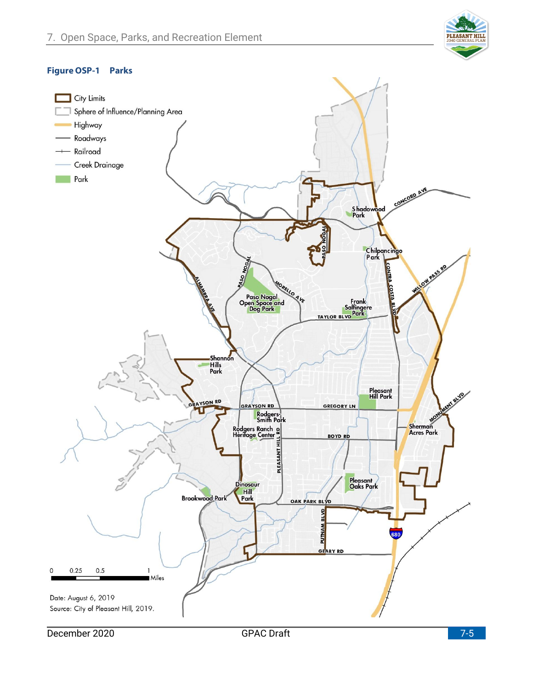

### **Figure OSP-1 Parks**

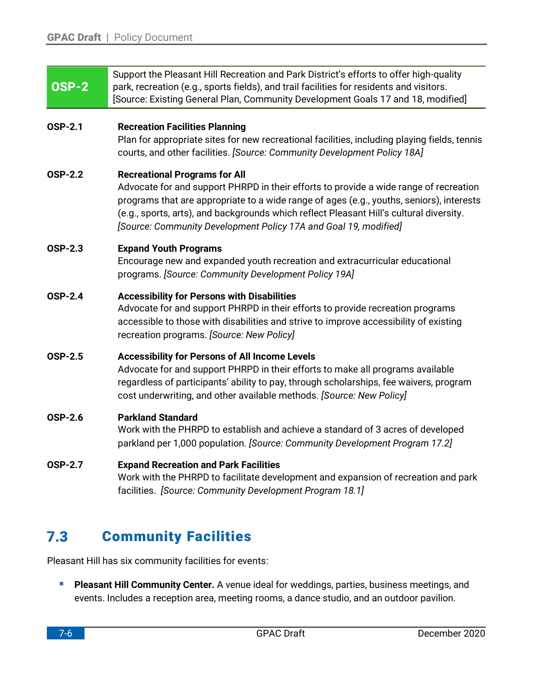| <b>OSP-2</b>   | Support the Pleasant Hill Recreation and Park District's efforts to offer high-quality<br>park, recreation (e.g., sports fields), and trail facilities for residents and visitors.<br>[Source: Existing General Plan, Community Development Goals 17 and 18, modified]                                                                                                                   |
|----------------|------------------------------------------------------------------------------------------------------------------------------------------------------------------------------------------------------------------------------------------------------------------------------------------------------------------------------------------------------------------------------------------|
| <b>OSP-2.1</b> | <b>Recreation Facilities Planning</b><br>Plan for appropriate sites for new recreational facilities, including playing fields, tennis<br>courts, and other facilities. [Source: Community Development Policy 18A]                                                                                                                                                                        |
| <b>OSP-2.2</b> | <b>Recreational Programs for All</b><br>Advocate for and support PHRPD in their efforts to provide a wide range of recreation<br>programs that are appropriate to a wide range of ages (e.g., youths, seniors), interests<br>(e.g., sports, arts), and backgrounds which reflect Pleasant Hill's cultural diversity.<br>[Source: Community Development Policy 17A and Goal 19, modified] |
| <b>OSP-2.3</b> | <b>Expand Youth Programs</b><br>Encourage new and expanded youth recreation and extracurricular educational<br>programs. [Source: Community Development Policy 19A]                                                                                                                                                                                                                      |
| <b>OSP-2.4</b> | <b>Accessibility for Persons with Disabilities</b><br>Advocate for and support PHRPD in their efforts to provide recreation programs<br>accessible to those with disabilities and strive to improve accessibility of existing<br>recreation programs. [Source: New Policy]                                                                                                               |
| <b>OSP-2.5</b> | <b>Accessibility for Persons of All Income Levels</b><br>Advocate for and support PHRPD in their efforts to make all programs available<br>regardless of participants' ability to pay, through scholarships, fee waivers, program<br>cost underwriting, and other available methods. [Source: New Policy]                                                                                |
| <b>OSP-2.6</b> | <b>Parkland Standard</b><br>Work with the PHRPD to establish and achieve a standard of 3 acres of developed<br>parkland per 1,000 population. [Source: Community Development Program 17.2]                                                                                                                                                                                               |
| <b>OSP-2.7</b> | <b>Expand Recreation and Park Facilities</b><br>Work with the PHRPD to facilitate development and expansion of recreation and park<br>facilities. [Source: Community Development Program 18.1]                                                                                                                                                                                           |
| 7.3            | <b>Community Facilities</b>                                                                                                                                                                                                                                                                                                                                                              |

<span id="page-5-0"></span>Pleasant Hill has six community facilities for events:

**• Pleasant Hill Community Center.** A venue ideal for weddings, parties, business meetings, and events. Includes a reception area, meeting rooms, a dance studio, and an outdoor pavilion.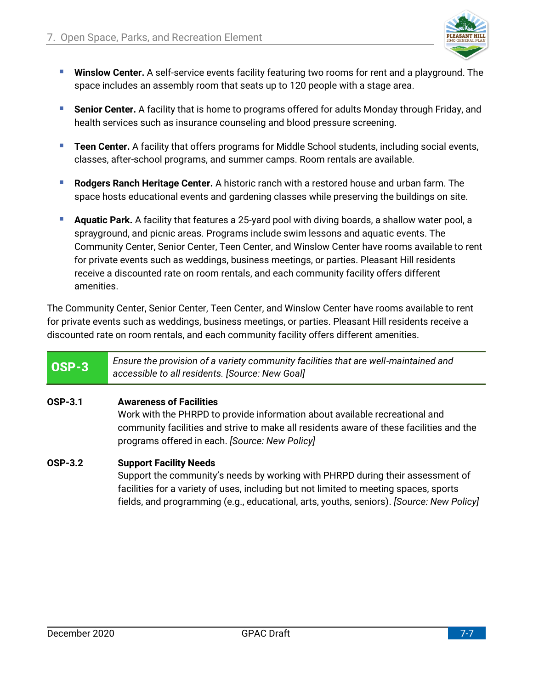

- **E** Winslow Center. A self-service events facility featuring two rooms for rent and a playground. The space includes an assembly room that seats up to 120 people with a stage area.
- **EXT** Senior Center. A facility that is home to programs offered for adults Monday through Friday, and health services such as insurance counseling and blood pressure screening.
- **E** Teen Center. A facility that offers programs for Middle School students, including social events, classes, after-school programs, and summer camps. Room rentals are available.
- **Rodgers Ranch Heritage Center.** A historic ranch with a restored house and urban farm. The space hosts educational events and gardening classes while preserving the buildings on site.
- **Aquatic Park.** A facility that features a 25-yard pool with diving boards, a shallow water pool, a sprayground, and picnic areas. Programs include swim lessons and aquatic events. The Community Center, Senior Center, Teen Center, and Winslow Center have rooms available to rent for private events such as weddings, business meetings, or parties. Pleasant Hill residents receive a discounted rate on room rentals, and each community facility offers different amenities.

The Community Center, Senior Center, Teen Center, and Winslow Center have rooms available to rent for private events such as weddings, business meetings, or parties. Pleasant Hill residents receive a discounted rate on room rentals, and each community facility offers different amenities.

#### *Ensure the provision of a variety community facilities that are well-maintained and*  OSP-3 *accessible to all residents. [Source: New Goal]*

## **OSP-3.1 Awareness of Facilities**

Work with the PHRPD to provide information about available recreational and community facilities and strive to make all residents aware of these facilities and the programs offered in each. *[Source: New Policy]*

## **OSP-3.2 Support Facility Needs**

Support the community's needs by working with PHRPD during their assessment of facilities for a variety of uses, including but not limited to meeting spaces, sports fields, and programming (e.g., educational, arts, youths, seniors). *[Source: New Policy]*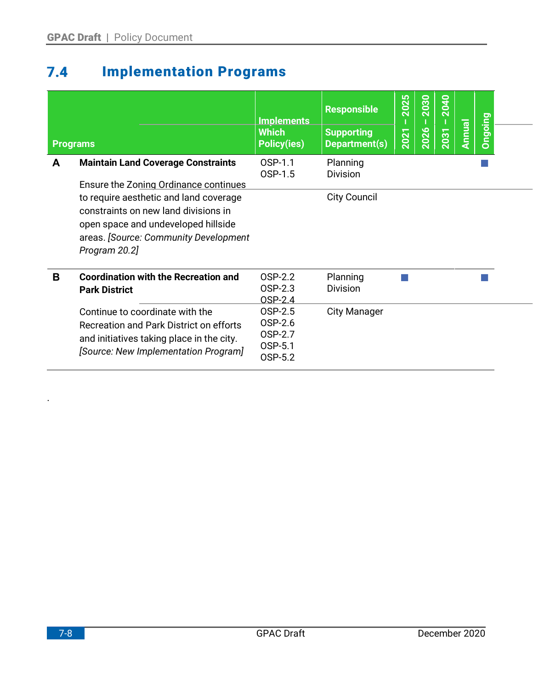### <span id="page-7-0"></span>**Implementation Programs**  $7.4$

|   | <b>Programs</b>                                                                                                                                                                 | <b>Implements</b><br><b>Which</b><br><b>Policy(ies)</b> | <b>Responsible</b><br><b>Supporting</b><br>Department(s) | 2025<br>2021 | 2030<br>2026 | 2040<br>2031 | Annual | <b>Ongoing</b> |  |
|---|---------------------------------------------------------------------------------------------------------------------------------------------------------------------------------|---------------------------------------------------------|----------------------------------------------------------|--------------|--------------|--------------|--------|----------------|--|
| A | <b>Maintain Land Coverage Constraints</b><br>Ensure the Zoning Ordinance continues                                                                                              | OSP-1.1<br>OSP-1.5                                      | Planning<br><b>Division</b>                              |              |              |              |        |                |  |
|   | to require aesthetic and land coverage<br>constraints on new land divisions in<br>open space and undeveloped hillside<br>areas. [Source: Community Development<br>Program 20.2] |                                                         | <b>City Council</b>                                      |              |              |              |        |                |  |
| B | <b>Coordination with the Recreation and</b><br><b>Park District</b>                                                                                                             | OSP-2.2<br>OSP-2.3<br>OSP-2.4                           | Planning<br><b>Division</b>                              |              |              |              |        |                |  |
|   | Continue to coordinate with the<br>Recreation and Park District on efforts<br>and initiatives taking place in the city.<br>[Source: New Implementation Program]                 | OSP-2.5<br>OSP-2.6<br>OSP-2.7<br>OSP-5.1<br>OSP-5.2     | <b>City Manager</b>                                      |              |              |              |        |                |  |

.